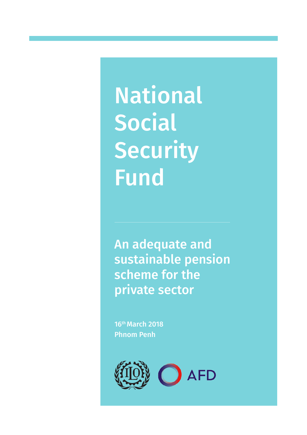National Social **Security** Fund

An adequate and sustainable pension scheme for the private sector

16th March 2018 Phnom Penh

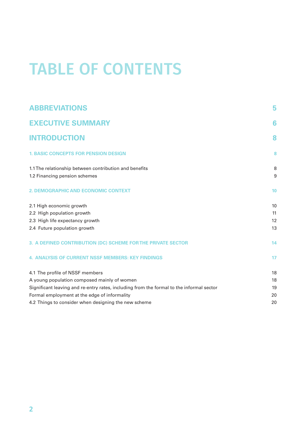# TABLE OF CONTENTS

| <b>ABBREVIATIONS</b>                                                                     | 5  |
|------------------------------------------------------------------------------------------|----|
| <b>EXECUTIVE SUMMARY</b>                                                                 | 6  |
| <b>INTRODUCTION</b>                                                                      | 8  |
| <b>1. BASIC CONCEPTS FOR PENSION DESIGN</b>                                              | 8  |
| 1.1 The relationship between contribution and benefits                                   | 8  |
| 1.2 Financing pension schemes                                                            | 9  |
| 2. DEMOGRAPHIC AND ECONOMIC CONTEXT                                                      | 10 |
| 2.1 High economic growth                                                                 | 10 |
| 2.2 High population growth                                                               | 11 |
| 2.3 High life expectancy growth                                                          | 12 |
| 2.4 Future population growth                                                             | 13 |
| 3. A DEFINED CONTRIBUTION (DC) SCHEME FOR THE PRIVATE SECTOR                             | 14 |
| <b>4. ANALYSIS OF CURRENT NSSF MEMBERS: KEY FINDINGS</b>                                 | 17 |
| 4.1 The profile of NSSF members                                                          | 18 |
| A young population composed mainly of women                                              | 18 |
| Significant leaving and re-entry rates, including from the formal to the informal sector | 19 |
| Formal employment at the edge of informality                                             | 20 |
| 4.2 Things to consider when designing the new scheme                                     | 20 |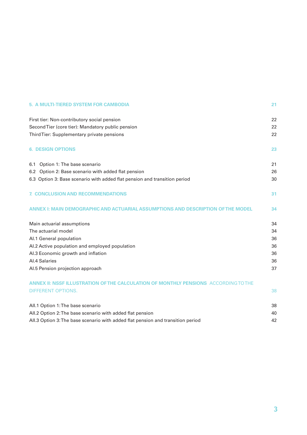| 5. A MULTI-TIERED SYSTEM FOR CAMBODIA                                               | 21 |
|-------------------------------------------------------------------------------------|----|
| First tier: Non-contributory social pension                                         | 22 |
| Second Tier (core tier): Mandatory public pension                                   | 22 |
| Third Tier: Supplementary private pensions                                          | 22 |
| <b>6. DESIGN OPTIONS</b>                                                            | 23 |
| Option 1: The base scenario<br>6.1                                                  | 21 |
| 6.2 Option 2: Base scenario with added flat pension                                 | 26 |
| 6.3 Option 3: Base scenario with added flat pension and transition period           | 30 |
| <b>7. CONCLUSION AND RECOMMENDATIONS</b>                                            | 31 |
| ANNEX I: MAIN DEMOGRAPHIC AND ACTUARIAL ASSUMPTIONS AND DESCRIPTION OF THE MODEL    | 34 |
| Main actuarial assumptions                                                          | 34 |
| The actuarial model                                                                 | 34 |
| Al.1 General population                                                             | 36 |
| Al.2 Active population and employed population                                      | 36 |
| Al.3 Economic growth and inflation                                                  | 36 |
| Al.4 Salaries                                                                       | 36 |
| Al.5 Pension projection approach                                                    | 37 |
| ANNEX II: NSSF ILLUSTRATION OF THE CALCULATION OF MONTHLY PENSIONS ACCORDING TO THE |    |
| <b>DIFFERENT OPTIONS.</b>                                                           | 38 |
| All.1 Option 1: The base scenario                                                   | 38 |
| All.2 Option 2: The base scenario with added flat pension                           | 40 |
| All.3 Option 3: The base scenario with added flat pension and transition period     | 42 |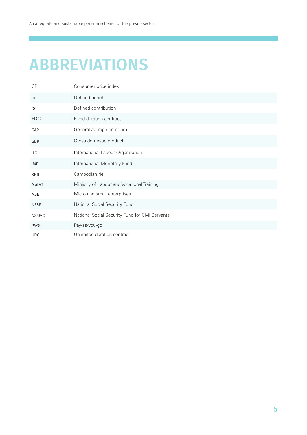# ABBREVIATIONS

| <b>CPI</b>  | Consumer price index                             |
|-------------|--------------------------------------------------|
| DB          | Defined benefit                                  |
| DC          | Defined contribution                             |
| <b>FDC</b>  | Fixed duration contract                          |
| GAP         | General average premium                          |
| GDP         | Gross domestic product                           |
| ILO         | International Labour Organization                |
| <b>IMF</b>  | International Monetary Fund                      |
| <b>KHR</b>  | Cambodian riel                                   |
| MoLVT       | Ministry of Labour and Vocational Training       |
| <b>MSE</b>  | Micro and small enterprises                      |
| <b>NSSF</b> | National Social Security Fund                    |
| NSSF-C      | National Social Security Fund for Civil Servants |
| PAYG        | Pay-as-you-go                                    |
| <b>UDC</b>  | Unlimited duration contract                      |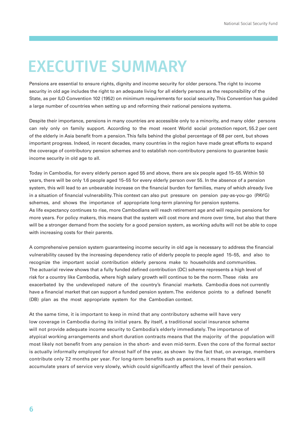## EXECUTIVE SUMMARY

Pensions are essential to ensure rights, dignity and income security for older persons. The right to income security in old age includes the right to an adequate living for all elderly persons as the responsibility of the State, as per ILO Convention 102 (1952) on minimum requirements for social security. This Convention has guided a large number of countries when setting up and reforming their national pensions systems.

Despite their importance, pensions in many countries are accessible only to a minority, and many older persons can rely only on family support. According to the most recent World social protection report, 55.2 per cent of the elderly in Asia benefit from a pension. This falls behind the global percentage of 68 per cent, but shows important progress. Indeed, in recent decades, many countries in the region have made great efforts to expand the coverage of contributory pension schemes and to establish non‐contributory pensions to guarantee basic income security in old age to all.

Today in Cambodia, for every elderly person aged 55 and above, there are six people aged 15–55. Within 50 years, there will be only 1.6 people aged 15–55 for every elderly person over 55. In the absence of a pension system, this will lead to an unbearable increase on the financial burden for families, many of which already live in a situation of financial vulnerability. This context can also put pressure on pension pay-as-you-go (PAYG) schemes, and shows the importance of appropriate long-term planning for pension systems. As life expectancy continues to rise, more Cambodians will reach retirement age and will require pensions for more years. For policy makers, this means that the system will cost more and more over time, but also that there will be a stronger demand from the society for a good pension system, as working adults will not be able to cope with increasing costs for their parents.

A comprehensive pension system guaranteeing income security in old age is necessary to address the financial vulnerability caused by the increasing dependency ratio of elderly people to people aged 15–55, and also to recognize the important social contribution elderly persons make to households and communities. The actuarial review shows that a fully funded defined contribution (DC) scheme represents a high level of risk for a country like Cambodia, where high salary growth will continue to be the norm. These risks are exacerbated by the undeveloped nature of the country's financial markets. Cambodia does not currently have a financial market that can support a funded pension system. The evidence points to a defined benefit (DB) plan as the most appropriate system for the Cambodian context.

At the same time, it is important to keep in mind that any contributory scheme will have very low coverage in Cambodia during its initial years. By itself, a traditional social insurance scheme will not provide adequate income security to Cambodia's elderly immediately. The importance of atypical working arrangements and short duration contracts means that the majority of the population will most likely not benefit from any pension in the short‐ and even mid‐term. Even the core of the formal sector is actually informally employed for almost half of the year, as shown by the fact that, on average, members contribute only 7.2 months per year. For long-term benefits such as pensions, it means that workers will accumulate years of service very slowly, which could significantly affect the level of their pension.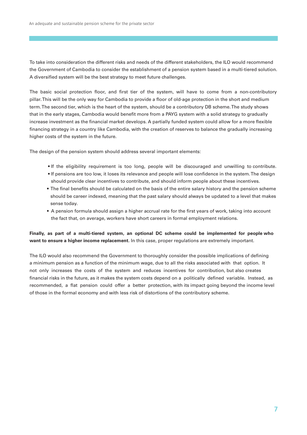To take into consideration the different risks and needs of the different stakeholders, the ILO would recommend the Government of Cambodia to consider the establishment of a pension system based in a multi-tiered solution. A diversified system will be the best strategy to meet future challenges.

The basic social protection floor, and first tier of the system, will have to come from a non-contributory pillar. This will be the only way for Cambodia to provide a floor of old-age protection in the short and medium term. The second tier, which is the heart of the system, should be a contributory DB scheme. The study shows that in the early stages, Cambodia would benefit more from a PAYG system with a solid strategy to gradually increase investment as the financial market develops. A partially funded system could allow for a more flexible financing strategy in a country like Cambodia, with the creation of reserves to balance the gradually increasing higher costs of the system in the future.

The design of the pension system should address several important elements:

- If the eligibility requirement is too long, people will be discouraged and unwilling to contribute.
- If pensions are too low, it loses its relevance and people will lose confidence in the system. The design should provide clear incentives to contribute, and should inform people about these incentives.
- The final benefits should be calculated on the basis of the entire salary history and the pension scheme should be career indexed, meaning that the past salary should always be updated to a level that makes sense today.
- A pension formula should assign a higher accrual rate for the first years of work, taking into account the fact that, on average, workers have short careers in formal employment relations.

### **Finally, as part of a multi‐tiered system, an optional DC scheme could be implemented for people who want to ensure a higher income replacement.** In this case, proper regulations are extremely important.

The ILO would also recommend the Government to thoroughly consider the possible implications of defining a minimum pension as a function of the minimum wage, due to all the risks associated with that option. It not only increases the costs of the system and reduces incentives for contribution, but also creates financial risks in the future, as it makes the system costs depend on a politically defined variable. Instead, as recommended, a flat pension could offer a better protection, with its impact going beyond the income level of those in the formal economy and with less risk of distortions of the contributory scheme.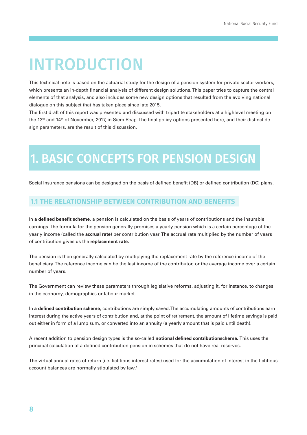# INTRODUCTION

This technical note is based on the actuarial study for the design of a pension system for private sector workers, which presents an in-depth financial analysis of different design solutions. This paper tries to capture the central elements of that analysis, and also includes some new design options that resulted from the evolving national dialogue on this subject that has taken place since late 2015.

The first draft of this report was presented and discussed with tripartite stakeholders at a highlevel meeting on the 13<sup>th</sup> and 14<sup>th</sup> of November, 2017, in Siem Reap. The final policy options presented here, and their distinct design parameters, are the result of this discussion.

## 1. BASIC CONCEPTS FOR PENSION DESIGN

Social insurance pensions can be designed on the basis of defined benefit (DB) or defined contribution (DC) plans.

## **1.1 THE RELATIONSHIP BETWEEN CONTRIBUTION AND BENEFITS**

In **a defined benefit scheme**, a pension is calculated on the basis of years of contributions and the insurable earnings. The formula for the pension generally promises a yearly pension which is a certain percentage of the yearly income (called the **accrual rate**) per contribution year. The accrual rate multiplied by the number of years of contribution gives us the **replacement rate.**

The pension is then generally calculated by multiplying the replacement rate by the reference income of the beneficiary. The reference income can be the last income of the contributor, or the average income over a certain number of years.

The Government can review these parameters through legislative reforms, adjusting it, for instance, to changes in the economy, demographics or labour market.

In **a defined contribution scheme**, contributions are simply saved. The accumulating amounts of contributions earn interest during the active years of contribution and, at the point of retirement, the amount of lifetime savings is paid out either in form of a lump sum, or converted into an annuity (a yearly amount that is paid until death).

A recent addition to pension design types is the so‐called **notional defined contributionscheme.** This uses the principal calculation of a defined contribution pension in schemes that do not have real reserves.

The virtual annual rates of return (i.e. fictitious interest rates) used for the accumulation of interest in the fictitious account balances are normally stipulated by law.1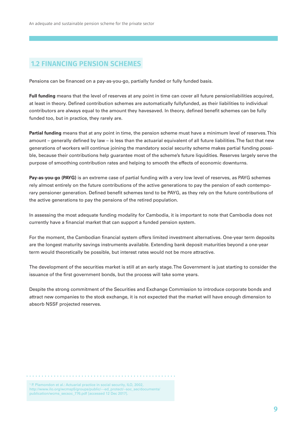## **1.2 FINANCING PENSION SCHEMES**

Pensions can be financed on a pay‐as‐you‐go, partially funded or fully funded basis.

**Full funding** means that the level of reserves at any point in time can cover all future pensionliabilities acquired, at least in theory. Defined contribution schemes are automatically fullyfunded, as their liabilities to individual contributors are always equal to the amount they havesaved. In theory, defined benefit schemes can be fully funded too, but in practice, they rarely are.

**Partial funding** means that at any point in time, the pension scheme must have a minimum level of reserves. This amount – generally defined by law – is less than the actuarial equivalent of all future liabilities. The fact that new generations of workers will continue joining the mandatory social security scheme makes partial funding possible, because their contributions help guarantee most of the scheme's future liquidities. Reserves largely serve the purpose of smoothing contribution rates and helping to smooth the effects of economic downturns.

**Pay‐as‐you‐go (PAYG)** is an extreme case of partial funding with a very low level of reserves, as PAYG schemes rely almost entirely on the future contributions of the active generations to pay the pension of each contemporary pensioner generation. Defined benefit schemes tend to be PAYG, as they rely on the future contributions of the active generations to pay the pensions of the retired population.

In assessing the most adequate funding modality for Cambodia, it is important to note that Cambodia does not currently have a financial market that can support a funded pension system.

For the moment, the Cambodian financial system offers limited investment alternatives. One‐year term deposits are the longest maturity savings instruments available. Extending bank deposit maturities beyond a one‐year term would theoretically be possible, but interest rates would not be more attractive.

The development of the securities market is still at an early stage. The Government is just starting to consider the issuance of the first government bonds, but the process will take some years.

Despite the strong commitment of the Securities and Exchange Commission to introduce corporate bonds and attract new companies to the stock exchange, it is not expected that the market will have enough dimension to absorb NSSF projected reserves.

```
<sup>1</sup> P. Plamondon et al.: Actuarial practice in social security, ILO, 2002,
http://www.ilo.org/wcmsp5/groups/public/---ed_protect/--soc_sec/documents/
publication/wcms_secsoc_776.pdf [accessed 12 Dec 2017].
```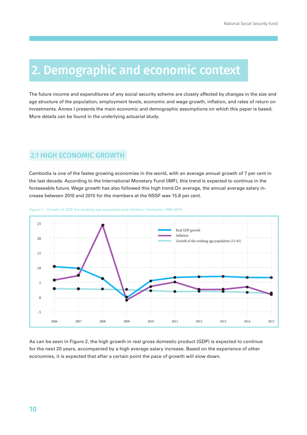## 2. Demographic and economic context

The future income and expenditures of any social security scheme are closely affected by changes in the size and age structure of the population, employment levels, economic and wage growth, inflation, and rates of return on investments. Annex I presents the main economic and demographic assumptions on which this paper is based. More details can be found in the underlying actuarial study.

## **2.1 HIGH ECONOMIC GROWTH**

Cambodia is one of the fastes growing economies in the world, with an average annual growth of 7 per cent in the last decade. According to the International Monetary Fund (IMF), this trend is expected to continue in the foreseeable future. Wage growth has also followed this high trend.On average, the annual average salary increase between 2010 and 2015 for the members at the NSSF was 15.8 per cent.



#### Figure 1 – Growth of GDP, the working age population and inflation, Cambodia, 1990–2015

As can be seen in Figure 2, the high growth in real gross domestic product (GDP) is expected to continue for the next 20 years, accompanied by a high average salary increase. Based on the experience of other economies, it is expected that after a certain point the pace of growth will slow down.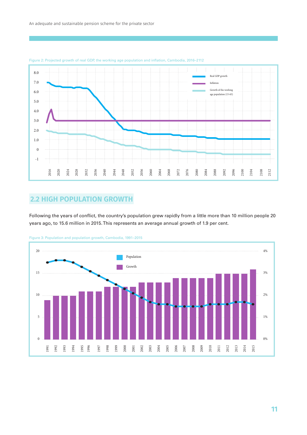

Figure 2: Projected growth of real GDP, the working age population and inflation, Cambodia, 2016–2112

## **2.2 HIGH POPULATION GROWTH**

Following the years of conflict, the country's population grew rapidly from a little more than 10 million people 20 years ago, to 15.6 million in 2015. This represents an average annual growth of 1.9 per cent.



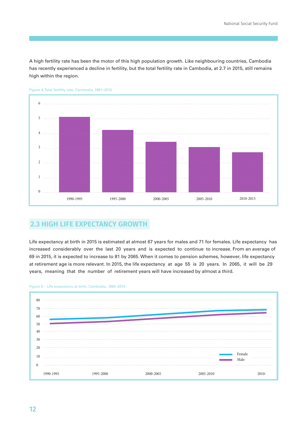A high fertility rate has been the motor of this high population growth. Like neighbouring countries, Cambodia has recently experienced a decline in fertility, but the total fertility rate in Cambodia, at 2.7 in 2015, still remains high within the region.



Figure 4: Total fertility rate, Cambodia, 1991–2015

## **2.3 HIGH LIFE EXPECTANCY GROWTH**

Life expectancy at birth in 2015 is estimated at almost 67 years for males and 71 for females. Life expectancy has increased considerably over the last 20 years and is expected to continue to increase. From an average of 69 in 2015, it is expected to increase to 81 by 2065. When it comes to pension schemes, however, life expectancy at retirement age is more relevant. In 2015, the life expectancy at age 55 is 20 years. In 2065, it will be 29 years, meaning that the number of retirement years will have increased by almost a third.



#### Figure 5 – Life expectancy at birth, Cambodia, 1990–2015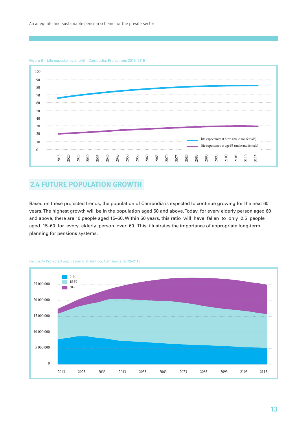

#### Figure 6 – Life expectancy at birth, Cambodia, Projections 2015–2115

## **2.4 FUTURE POPULATION GROWTH**

Based on these projected trends, the population of Cambodia is expected to continue growing for the next 60 years. The highest growth will be in the population aged 60 and above. Today, for every elderly person aged 60 and above, there are 10 people aged 15–60. Within 50 years, this ratio will have fallen to only 2.5 people aged 15–60 for every elderly person over 60. This illustrates the importance of appropriate long-term planning for pensions systems.



#### Figure 7– Projected population distribution, Cambodia, 2013–2113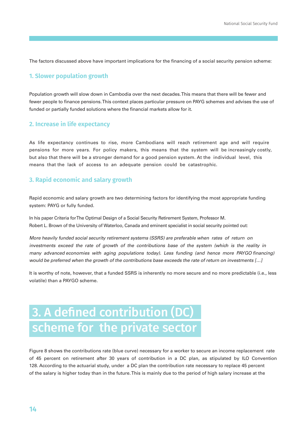The factors discussed above have important implications for the financing of a social security pension scheme:

### **1. Slower population growth**

Population growth will slow down in Cambodia over the next decades. This means that there will be fewer and fewer people to finance pensions. This context places particular pressure on PAYG schemes and advises the use of funded or partially funded solutions where the financial markets allow for it.

### **2. Increase in life expectancy**

As life expectancy continues to rise, more Cambodians will reach retirement age and will require pensions for more years. For policy makers, this means that the system will be increasingly costly, but also that there will be a stronger demand for a good pension system. At the individual level, this means that the lack of access to an adequate pension could be catastrophic.

### **3. Rapid economic and salary growth**

Rapid economic and salary growth are two determining factors for identifying the most appropriate funding system: PAYG or fully funded.

In his paper Criteria for The Optimal Design of a Social Security Retirement System, Professor M. Robert L. Brown of the University of Waterloo, Canada and eminent specialist in social security pointed out:

More heavily funded social security retirement systems (SSRS) are preferable when rates of return on investments exceed the rate of growth of the contributions base of the system (which is the reality in many advanced economies with aging populations today). Less funding (and hence more PAYGO financing) would be preferred when the growth of the contributions base exceeds the rate of return on investments […]

It is worthy of note, however, that a funded SSRS is inherently no more secure and no more predictable (i.e., less volatile) than a PAYGO scheme.

## 3. A defined contribution (DC) scheme for the private sector

Figure 8 shows the contributions rate (blue curve) necessary for a worker to secure an income replacement rate of 45 percent on retirement after 30 years of contribution in a DC plan, as stipulated by ILO Convention 128. According to the actuarial study, under a DC plan the contribution rate necessary to replace 45 percent of the salary is higher today than in the future. This is mainly due to the period of high salary increase at the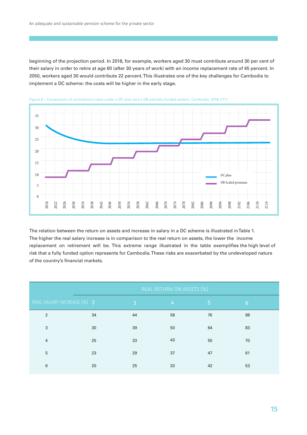beginning of the projection period. In 2018, for example, workers aged 30 must contribute around 30 per cent of their salary in order to retire at age 60 (after 30 years of work) with an income replacement rate of 45 percent. In 2050, workers aged 30 would contribute 22 percent. This illustrates one of the key challenges for Cambodia to implement a DC scheme: the costs will be higher in the early stage.





The relation between the return on assets and increase in salary in a DC scheme is illustrated in Table 1. The higher the real salary increase is in comparison to the real return on assets, the lower the income replacement on retirement will be. This extreme range illustrated in the table exemplifies the high level of risk that a fully funded option represents for Cambodia. These risks are exacerbated by the undeveloped nature of the country's financial markets.

|                            |    | REAL RETURN ON ASSETS (%) |                |                |                 |  |
|----------------------------|----|---------------------------|----------------|----------------|-----------------|--|
| REAL SALARY INCREASE (%) 2 |    | $\overline{3}$            | 4 <sup>1</sup> | 5 <sup>1</sup> | $6\phantom{.}6$ |  |
| 2                          | 34 | 44                        | 58             | 76             | 98              |  |
| 3                          | 30 | 39                        | 50             | 64             | 83              |  |
| $\overline{4}$             | 25 | 33                        | 43             | 55             | 70              |  |
| 5                          | 23 | 29                        | 37             | 47             | 61              |  |
| 6                          | 20 | 25                        | 33             | 42             | 53              |  |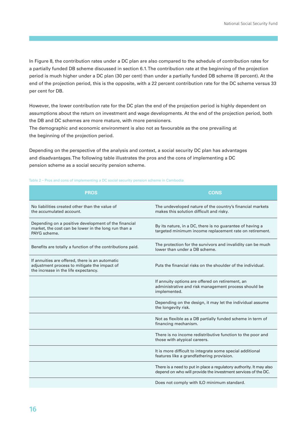In Figure 8, the contribution rates under a DC plan are also compared to the schedule of contribution rates for a partially funded DB scheme discussed in section 6.1. The contribution rate at the beginning of the projection period is much higher under a DC plan (30 per cent) than under a partially funded DB scheme (8 percent). At the end of the projection period, this is the opposite, with a 22 percent contribution rate for the DC scheme versus 33 per cent for DB.

However, the lower contribution rate for the DC plan the end of the projection period is highly dependent on assumptions about the return on investment and wage developments. At the end of the projection period, both the DB and DC schemes are more mature, with more pensioners.

The demographic and economic environment is also not as favourable as the one prevailing at the beginning of the projection period.

Depending on the perspective of the analysis and context, a social security DC plan has advantages and disadvantages. The following table illustrates the pros and the cons of implementing a DC pension scheme as a social security pension scheme.

#### Table 2 – Pros and cons of implementing a DC social security pension scheme in Cambodia

| <b>PROS</b>                                                                                                                             | <b>CONS</b>                                                                                                                          |
|-----------------------------------------------------------------------------------------------------------------------------------------|--------------------------------------------------------------------------------------------------------------------------------------|
| No liabilities created other than the value of<br>the accumulated account.                                                              | The undeveloped nature of the country's financial markets<br>makes this solution difficult and risky.                                |
| Depending on a positive development of the financial<br>market, the cost can be lower in the long run than a<br>PAYG scheme.            | By its nature, in a DC, there is no guarantee of having a<br>targeted minimum income replacement rate on retirement.                 |
| Benefits are totally a function of the contributions paid.                                                                              | The protection for the survivors and invalidity can be much<br>lower than under a DB scheme.                                         |
| If annuities are offered, there is an automatic<br>adjustment process to mitigate the impact of<br>the increase in the life expectancy. | Puts the financial risks on the shoulder of the individual.                                                                          |
|                                                                                                                                         | If annuity options are offered on retirement, an<br>administrative and risk management process should be<br>implemented.             |
|                                                                                                                                         | Depending on the design, it may let the individual assume<br>the longevity risk.                                                     |
|                                                                                                                                         | Not as flexible as a DB partially funded scheme in term of<br>financing mechanism.                                                   |
|                                                                                                                                         | There is no income redistributive function to the poor and<br>those with atypical careers.                                           |
|                                                                                                                                         | It is more difficult to integrate some special additional<br>features like a grandfathering provision.                               |
|                                                                                                                                         | There is a need to put in place a regulatory authority. It may also<br>depend on who will provide the investment services of the DC. |
|                                                                                                                                         | Does not comply with ILO minimum standard.                                                                                           |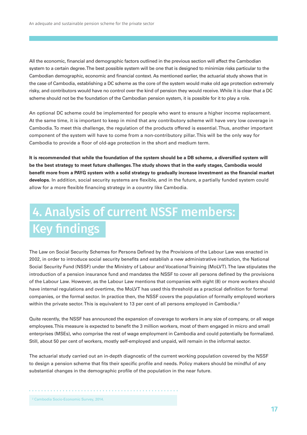All the economic, financial and demographic factors outlined in the previous section will affect the Cambodian system to a certain degree. The best possible system will be one that is designed to minimize risks particular to the Cambodian demographic, economic and financial context. As mentioned earlier, the actuarial study shows that in the case of Cambodia, establishing a DC scheme as the core of the system would make old age protection extremely risky, and contributors would have no control over the kind of pension they would receive. While it is clear that a DC scheme should not be the foundation of the Cambodian pension system, it is possible for it to play a role.

An optional DC scheme could be implemented for people who want to ensure a higher income replacement. At the same time, it is important to keep in mind that any contributory scheme will have very low coverage in Cambodia. To meet this challenge, the regulation of the products offered is essential. Thus, another important component of the system will have to come from a non-contributory pillar. This will be the only way for Cambodia to provide a floor of old‐age protection in the short and medium term.

**It is recommended that while the foundation of the system should be a DB scheme, a diversified system will be the best strategy to meet future challenges. The study shows that in the early stages, Cambodia would benefit more from a PAYG system with a solid strategy to gradually increase investment as the financial market develops.** In addition, social security systems are flexible, and in the future, a partially funded system could allow for a more flexible financing strategy in a country like Cambodia.

## 4. Analysis of current NSSF members: Key findings

The Law on Social Security Schemes for Persons Defined by the Provisions of the Labour Law was enacted in 2002, in order to introduce social security benefits and establish a new administrative institution, the National Social Security Fund (NSSF) under the Ministry of Labour and Vocational Training (MoLVT). The law stipulates the introduction of a pension insurance fund and mandates the NSSF to cover all persons defined by the provisions of the Labour Law. However, as the Labour Law mentions that companies with eight (8) or more workers should have internal regulations and overtime, the MoLVT has used this threshold as a practical definition for formal companies, or the formal sector. In practice then, the NSSF covers the population of formally employed workers within the private sector. This is equivalent to 13 per cent of all persons employed in Cambodia.<sup>2</sup>

Quite recently, the NSSF has announced the expansion of coverage to workers in any size of company, or all wage employees. This measure is expected to benefit the 3 million workers, most of them engaged in micro and small enterprises (MSEs), who comprise the rest of wage employment in Cambodia and could potentially be formalized. Still, about 50 per cent of workers, mostly self‐employed and unpaid, will remain in the informal sector.

The actuarial study carried out an in‐depth diagnostic of the current working population covered by the NSSF to design a pension scheme that fits their specific profile and needs. Policy makers should be mindful of any substantial changes in the demographic profile of the population in the near future.

2 Cambodia Socio‐Economic Survey, 2014.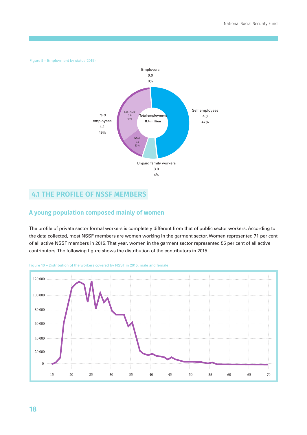Figure 9 – Employment by status(2015)



## **4.1 THE PROFILE OF NSSF MEMBERS**

### **A young population composed mainly of women**

The profile of private sector formal workers is completely different from that of public sector workers. According to the data collected, most NSSF members are women working in the garment sector. Women represented 71 per cent of all active NSSF members in 2015. That year, women in the garment sector represented 55 per cent of all active contributors. The following figure shows the distribution of the contributors in 2015.



Figure 10 – Distribution of the workers covered by NSSF in 2015, male and female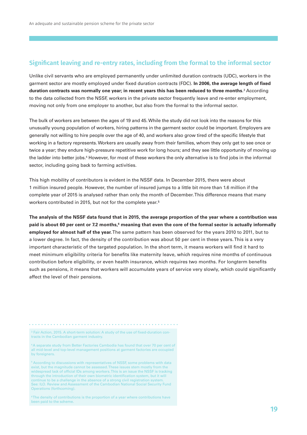### **Significant leaving and re-entry rates, including from the formal to the informal sector**

Unlike civil servants who are employed permanently under unlimited duration contracts (UDC), workers in the garment sector are mostly employed under fixed duration contracts (FDC). **In 2006, the average length of fixed duration contracts was normally one year; in recent years this has been reduced to three months**.3 According to the data collected from the NSSF, workers in the private sector frequently leave and re-enter employment, moving not only from one employer to another, but also from the formal to the informal sector.

The bulk of workers are between the ages of 19 and 45. While the study did not look into the reasons for this unusually young population of workers, hiring patterns in the garment sector could be important. Employers are generally not willing to hire people over the age of 40, and workers also grow tired of the specific lifestyle that working in a factory represents. Workers are usually away from their families, whom they only get to see once or twice a year; they endure high‐pressure repetitive work for long hours; and they see little opportunity of moving up the ladder into better jobs.4 However, for most of these workers the only alternative is to find jobs in the informal sector, including going back to farming activities.

This high mobility of contributors is evident in the NSSF data. In December 2015, there were about 1 million insured people. However, the number of insured jumps to a little bit more than 1.6 million if the complete year of 2015 is analysed rather than only the month of December. This difference means that many workers contributed in 2015, but not for the complete year.5

**The analysis of the NSSF data found that in 2015, the average proportion of the year where a contribution was**  paid is about 60 per cent or 7.2 months,<sup>6</sup> meaning that even the core of the formal sector is actually informally **employed for almost half of the year.** The same pattern has been observed for the years 2010 to 2011, but to a lower degree. In fact, the density of the contribution was about 50 per cent in these years. This is a very important characteristic of the targeted population. In the short term, it means workers will find it hard to meet minimum eligibility criteria for benefits like maternity leave, which requires nine months of continuous contribution before eligibility, or even health insurance, which requires two months. For longterm benefits such as pensions, it means that workers will accumulate years of service very slowly, which could significantly affect the level of their pensions.

<sup>3</sup> Fair Action, 2015. A short-term solution: A study of the use of fixed-duration contracts in the Cambodian garment industry.

4 A separate study from Better Factories Cambodia has found that over 70 per cent of all mid‐level and top‐level management positions at garment factories are occupied by foreigners.

 $^{\rm 5}$  According to discussions with representatives of NSSF, some problems with data exist, but the magnitude cannot be assessed. These issues stem mostly from the widespread lack of official IDs among workers. This is an issue the NSSF is tracking through the introduction of their own biometric identification system, but it will continue to be a challenge in the absence of a strong civil registration system. See: ILO. Review and Assessment of the Cambodian National Social Security Fund Operations (forthcoming).

<sup>6</sup>The density of contributions is the proportion of a year where contributions have been paid to the scheme.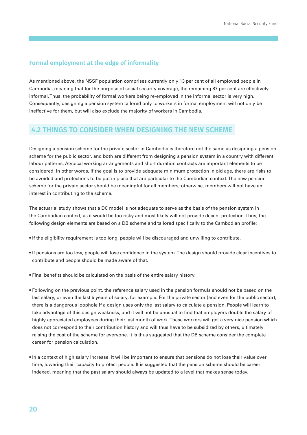### **Formal employment at the edge of informality**

As mentioned above, the NSSF population comprises currently only 13 per cent of all employed people in Cambodia, meaning that for the purpose of social security coverage, the remaining 87 per cent are effectively informal. Thus, the probability of formal workers being re-employed in the informal sector is very high. Consequently, designing a pension system tailored only to workers in formal employment will not only be ineffective for them, but will also exclude the majority of workers in Cambodia.

### **4.2 THINGS TO CONSIDER WHEN DESIGNING THE NEW SCHEME**

Designing a pension scheme for the private sector in Cambodia is therefore not the same as designing a pension scheme for the public sector, and both are different from designing a pension system in a country with different labour patterns. Atypical working arrangements and short duration contracts are important elements to be considered. In other words, if the goal is to provide adequate minimum protection in old age, there are risks to be avoided and protections to be put in place that are particular to the Cambodian context. The new pension scheme for the private sector should be meaningful for all members; otherwise, members will not have an interest in contributing to the scheme.

The actuarial study shows that a DC model is not adequate to serve as the basis of the pension system in the Cambodian context, as it would be too risky and most likely will not provide decent protection. Thus, the following design elements are based on a DB scheme and tailored specifically to the Cambodian profile:

- If the eligibility requirement is too long, people will be discouraged and unwilling to contribute.
- If pensions are too low, people will lose confidence in the system. The design should provide clear incentives to contribute and people should be made aware of that.
- Final benefits should be calculated on the basis of the entire salary history.
- Following on the previous point, the reference salary used in the pension formula should not be based on the last salary, or even the last 5 years of salary, for example. For the private sector (and even for the public sector), there is a dangerous loophole if a design uses only the last salary to calculate a pension. People will learn to take advantage of this design weakness, and it will not be unusual to find that employers double the salary of highly appreciated employees during their last month of work. These workers will get a very nice pension which does not correspond to their contribution history and will thus have to be subsidized by others, ultimately raising the cost of the scheme for everyone. It is thus suggested that the DB scheme consider the complete career for pension calculation.
- In a context of high salary increase, it will be important to ensure that pensions do not lose their value over time, lowering their capacity to protect people. It is suggested that the pension scheme should be career indexed, meaning that the past salary should always be updated to a level that makes sense today.

`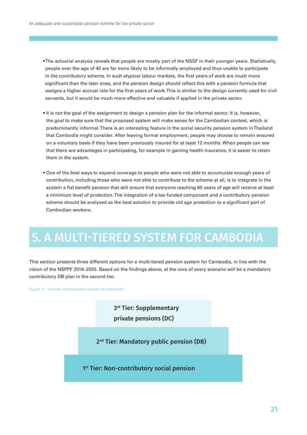• The actuarial analysis reveals that people are mostly part of the NSSF in their younger years. Statistically, people over the age of 40 are far more likely to be informally employed and thus unable to participate in the contributory scheme. In such atypical labour markets, the first years of work are much more significant than the later ones, and the pension design should reflect this with a pension formula that assigns a higher accrual rate for the first years of work. This is similar to the design currently used for civil servants, but it would be much more effective and valuable if applied in the private sector.

- It is not the goal of the assignment to design a pension plan for the informal sector. It is, however, the goal to make sure that the proposed system will make sense for the Cambodian context, which is predominantly informal. There is an interesting feature in the social security pension system in Thailand that Cambodia might consider. After leaving formal employment, people may choose to remain ensured on a voluntary basis if they have been previously insured for at least 12 months. When people can see that there are advantages in participating, for example in gaining health insurance, it is easier to retain them in the system.
- One of the best ways to expand coverage to people who were not able to accumulate enough years of contribution, including those who were not able to contribute to the scheme at all, is to integrate in the system a flat benefit pension that will ensure that everyone reaching 60 years of age will receive at least a minimum level of protection. The integration of a tax‐funded component and a contributory pension scheme should be analysed as the best solution to provide old age protection to a significant part of Cambodian workers.

## 5. A MULTI-TIERED SYSTEM FOR CAMBODIA

This section presents three different options for a multi-tiered pension system for Cambodia, in line with the vision of the NSPPF 2016–2025. Based on the findings above, at the core of every scenario will be a mandatory contributory DB plan in the second tier.

Figure 11 – A multi-tiered pension system for Cambodia

3<sup>rd</sup> Tier: Supplementary private pensions (DC)

2<sup>nd</sup> Tier: Mandatory public pension (DB)

1<sup>st</sup> Tier: Non-contributory social pension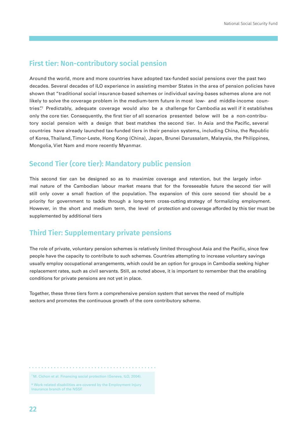## **First tier: Non-contributory social pension**

Around the world, more and more countries have adopted tax‐funded social pensions over the past two decades. Several decades of ILO experience in assisting member States in the area of pension policies have shown that "traditional social insurance‐based schemes or individual saving‐bases schemes alone are not likely to solve the coverage problem in the medium-term future in most low- and middle-income countries". Predictably, adequate coverage would also be a challenge for Cambodia as well if it establishes only the core tier. Consequently, the first tier of all scenarios presented below will be a non-contributory social pension with a design that best matches the second tier. In Asia and the Pacific, several countries have already launched tax‐funded tiers in their pension systems, including China, the Republic of Korea, Thailand, Timor‐Leste, Hong Kong (China), Japan, Brunei Darussalam, Malaysia, the Philippines, Mongolia, Viet Nam and more recently Myanmar.

## **Second Tier (core tier): Mandatory public pension**

This second tier can be designed so as to maximize coverage and retention, but the largely informal nature of the Cambodian labour market means that for the foreseeable future the second tier will still only cover a small fraction of the population. The expansion of this core second tier should be a priority for government to tackle through a long-term cross-cutting strategy of formalizing employment. However, in the short and medium term, the level of protection and coverage afforded by this tier must be supplemented by additional tiers

## **Third Tier: Supplementary private pensions**

The role of private, voluntary pension schemes is relatively limited throughout Asia and the Pacific, since few people have the capacity to contribute to such schemes. Countries attempting to increase voluntary savings usually employ occupational arrangements, which could be an option for groups in Cambodia seeking higher replacement rates, such as civil servants. Still, as noted above, it is important to remember that the enabling conditions for private pensions are not yet in place.

Together, these three tiers form a comprehensive pension system that serves the need of multiple sectors and promotes the continuous growth of the core contributory scheme.

<sup>7</sup>M. Cichon et al. Financing social protection (Geneva, ILO, 2004).

8 Work‐related disabilities are covered by the Employment Injury Insurance branch of the NSSF.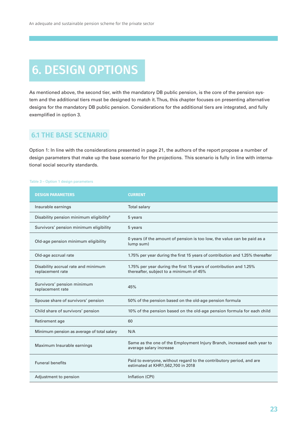## 6. DESIGN OPTIONS

As mentioned above, the second tier, with the mandatory DB public pension, is the core of the pension system and the additional tiers must be designed to match it. Thus, this chapter focuses on presenting alternative designs for the mandatory DB public pension. Considerations for the additional tiers are integrated, and fully exemplified in option 3.

## **6.1 THE BASE SCENARIO**

Option 1: In line with the considerations presented in page 21, the authors of the report propose a number of design parameters that make up the base scenario for the projections. This scenario is fully in line with international social security standards.

### Table 3 – Option 1 design parameters

| <b>DESIGN PARAMETERS</b>                                | <b>CURRENT</b>                                                                                                |
|---------------------------------------------------------|---------------------------------------------------------------------------------------------------------------|
| Insurable earnings                                      | <b>Total salary</b>                                                                                           |
| Disability pension minimum eligibility <sup>8</sup>     | 5 years                                                                                                       |
| Survivors' pension minimum eligibility                  | 5 years                                                                                                       |
| Old-age pension minimum eligibility                     | 0 years (if the amount of pension is too low, the value can be paid as a<br>lump sum)                         |
| Old-age accrual rate                                    | 1.75% per year during the first 15 years of contribution and 1.25% thereafter                                 |
| Disability accrual rate and minimum<br>replacement rate | 1.75% per year during the first 15 years of contribution and 1.25%<br>thereafter, subject to a minimum of 45% |
| Survivors' pension minimum<br>replacement rate          | 45%                                                                                                           |
| Spouse share of survivors' pension                      | 50% of the pension based on the old-age pension formula                                                       |
| Child share of survivors' pension                       | 10% of the pension based on the old-age pension formula for each child                                        |
| Retirement age                                          | 60                                                                                                            |
| Minimum pension as average of total salary              | N/A                                                                                                           |
| Maximum Insurable earnings                              | Same as the one of the Employment Injury Branch, increased each year to<br>average salary increase            |
| <b>Funeral benefits</b>                                 | Paid to everyone, without regard to the contributory period, and are<br>estimated at KHR1,562,700 in 2018     |
| Adjustment to pension                                   | Inflation (CPI)                                                                                               |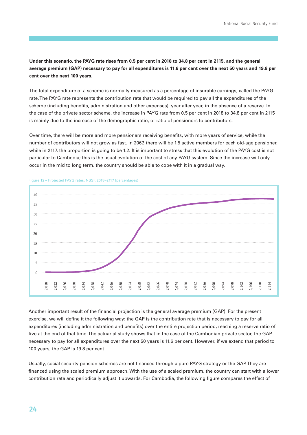**Under this scenario, the PAYG rate rises from 0.5 per cent in 2018 to 34.8 per cent in 2115, and the general average premium (GAP) necessary to pay for all expenditures is 11.6 per cent over the next 50 years and 19.8 per cent over the next 100 years.**

The total expenditure of a scheme is normally measured as a percentage of insurable earnings, called the PAYG rate. The PAYG rate represents the contribution rate that would be required to pay all the expenditures of the scheme (including benefits, administration and other expenses), year after year, in the absence of a reserve. In the case of the private sector scheme, the increase in PAYG rate from 0.5 per cent in 2018 to 34.8 per cent in 2115 is mainly due to the increase of the demographic ratio, or ratio of pensioners to contributors.

Over time, there will be more and more pensioners receiving benefits, with more years of service, while the number of contributors will not grow as fast. In 2067, there will be 1.5 active members for each old‐age pensioner, while in 2117, the proportion is going to be 1.2. It is important to stress that this evolution of the PAYG cost is not particular to Cambodia; this is the usual evolution of the cost of any PAYG system. Since the increase will only occur in the mid to long term, the country should be able to cope with it in a gradual way.



### Figure 12 – Projected PAYG rates, NSSF, 2018−2117 (percentages)

Another important result of the financial projection is the general average premium (GAP). For the present exercise, we will define it the following way: the GAP is the contribution rate that is necessary to pay for all expenditures (including administration and benefits) over the entire projection period, reaching a reserve ratio of five at the end of that time. The actuarial study shows that in the case of the Cambodian private sector, the GAP necessary to pay for all expenditures over the next 50 years is 11.6 per cent. However, if we extend that period to 100 years, the GAP is 19.8 per cent.

Usually, social security pension schemes are not financed through a pure PAYG strategy or the GAP. They are financed using the scaled premium approach. With the use of a scaled premium, the country can start with a lower contribution rate and periodically adjust it upwards. For Cambodia, the following figure compares the effect of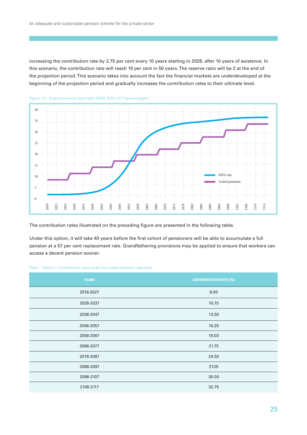increasing the contribution rate by 2.75 per cent every 10 years starting in 2028, after 10 years of existence. In this scenario, the contribution rate will reach 19 per cent in 50 years. The reserve ratio will be 2 at the end of the projection period. This scenario takes into account the fact the financial markets are underdeveloped at the beginning of the projection period and gradually increases the contribution rates to their ultimate level.



Figure 13 – Scaled premium approach, NSSF, 2018−2117 (percentages)

The contribution rates illustrated on the preceding figure are presented in the following table.

Under this option, it will take 40 years before the first cohort of pensioners will be able to accumulate a full pension at a 57 per cent replacement rate. Grandfathering provisions may be applied to ensure that workers can access a decent pension sooner.

|  |  |  | Table – Option 1: Contribution rates under the scaled premium approach |  |
|--|--|--|------------------------------------------------------------------------|--|
|--|--|--|------------------------------------------------------------------------|--|

| <b>YEARS</b> | <b>CONTRIBUTION RATES (%)</b> |
|--------------|-------------------------------|
| 2018-2027    | 8.00                          |
| 2028-2037    | 10.75                         |
| 2038-2047    | 13.50                         |
| 2048-2057    | 16.25                         |
| 2058-2067    | 19.00                         |
| 2068-2077    | 21.75                         |
| 2078-2087    | 24.50                         |
| 2088-2097    | 27.25                         |
| 2098-2107    | 30.00                         |
| 2108-2117    | 32.75                         |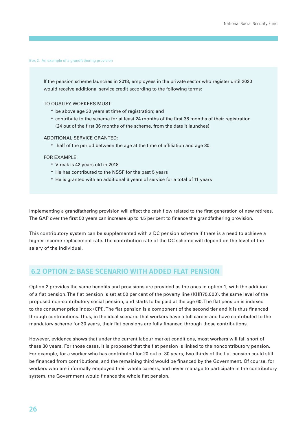#### Box 2: An example of a grandfathering provision

If the pension scheme launches in 2018, employees in the private sector who register until 2020 would receive additional service credit according to the following terms:

TO QUALIFY, WORKERS MUST:

- be above age 30 years at time of registration; and
- contribute to the scheme for at least 24 months of the first 36 months of their registration (24 out of the first 36 months of the scheme, from the date it launches).

### ADDITIONAL SERVICE GRANTED:

• half of the period between the age at the time of affiliation and age 30.

#### FOR EXAMPLE:

- Vireak is 42 years old in 2018
- He has contributed to the NSSF for the past 5 years
- He is granted with an additional 6 years of service for a total of 11 years

Implementing a grandfathering provision will affect the cash flow related to the first generation of new retirees. The GAP over the first 50 years can increase up to 1.5 per cent to finance the grandfathering provision.

This contributory system can be supplemented with a DC pension scheme if there is a need to achieve a higher income replacement rate. The contribution rate of the DC scheme will depend on the level of the salary of the individual.

### **6.2 OPTION 2: BASE SCENARIO WITH ADDED FLAT PENSION**

Option 2 provides the same benefits and provisions are provided as the ones in option 1, with the addition of a flat pension. The flat pension is set at 50 per cent of the poverty line (KHR75,000), the same level of the proposed non‐contributory social pension, and starts to be paid at the age 60. The flat pension is indexed to the consumer price index (CPI). The flat pension is a component of the second tier and it is thus financed through contributions. Thus, in the ideal scenario that workers have a full career and have contributed to the mandatory scheme for 30 years, their flat pensions are fully financed through those contributions.

However, evidence shows that under the current labour market conditions, most workers will fall short of these 30 years. For those cases, it is proposed that the flat pension is linked to the noncontributory pension. For example, for a worker who has contributed for 20 out of 30 years, two thirds of the flat pension could still be financed from contributions, and the remaining third would be financed by the Government. Of course, for workers who are informally employed their whole careers, and never manage to participate in the contributory system, the Government would finance the whole flat pension.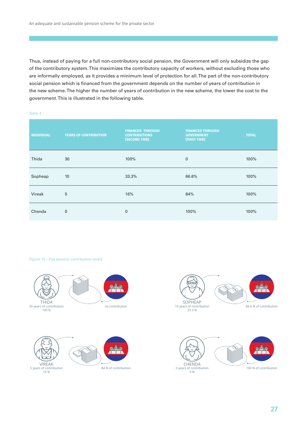Thus, instead of paying for a full non‐contributory social pension, the Government will only subsidize the gap of the contributory system. This maximizes the contributory capacity of workers, without excluding those who are informally employed, as it provides a minimum level of protection for all. The part of the non‐contributory social pension which is financed from the government depends on the number of years of contribution in the new scheme. The higher the number of years of contribution in the new scheme, the lower the cost to the government. This is illustrated in the following table.

#### Table 4

| <b>INDIVIDUAL</b> | <b>YEARS OF CONTRIBUTION</b> | <b>FINANCED THROUGH</b><br><b>CONTRIBUTIONS</b><br>(SECOND TIER) | <b>FINANCED THROUGH</b><br><b>GOVERNMENT</b><br>(FIRST TIER) | <b>TOTAL</b> |
|-------------------|------------------------------|------------------------------------------------------------------|--------------------------------------------------------------|--------------|
| Thida             | 30                           | 100%                                                             | $\mathbf 0$                                                  | 100%         |
| Sopheap           | 10                           | 33.3%                                                            | 66.6%                                                        | 100%         |
| Vireak            | 5                            | 16%                                                              | 84%                                                          | 100%         |
| Chenda            | $\mathbf{0}$                 | $\mathbf 0$                                                      | 100%                                                         | 100%         |

#### Figure 14 – Flat pension contribution levels

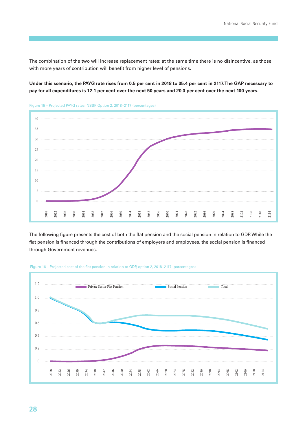The combination of the two will increase replacement rates; at the same time there is no disincentive, as those with more years of contribution will benefit from higher level of pensions.

**Under this scenario, the PAYG rate rises from 0.5 per cent in 2018 to 35.4 per cent in 2117. The GAP necessary to pay for all expenditures is 12.1 per cent over the next 50 years and 20.3 per cent over the next 100 years.**



Figure 15 – Projected PAYG rates, NSSF, Option 2, 2018−2117 (percentages)

The following figure presents the cost of both the flat pension and the social pension in relation to GDP. While the flat pension is financed through the contributions of employers and employees, the social pension is financed through Government revenues.



Figure 16 – Projected cost of the flat pension in relation to GDP, option 2, 2018−2117 (percentages)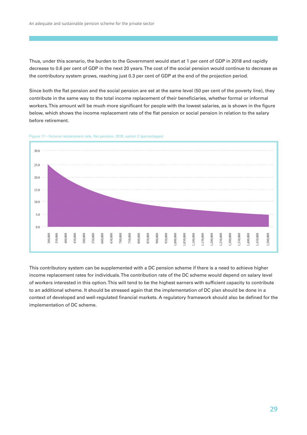Thus, under this scenario, the burden to the Government would start at 1 per cent of GDP in 2018 and rapidly decrease to 0.6 per cent of GDP in the next 20 years. The cost of the social pension would continue to decrease as the contributory system grows, reaching just 0.3 per cent of GDP at the end of the projection period.

Since both the flat pension and the social pension are set at the same level (50 per cent of the poverty line), they contribute in the same way to the total income replacement of their beneficiaries, whether formal or informal workers. This amount will be much more significant for people with the lowest salaries, as is shown in the figure below, which shows the income replacement rate of the flat pension or social pension in relation to the salary before retirement.





This contributory system can be supplemented with a DC pension scheme if there is a need to achieve higher income replacement rates for individuals. The contribution rate of the DC scheme would depend on salary level of workers interested in this option. This will tend to be the highest earners with sufficient capacity to contribute to an additional scheme. It should be stressed again that the implementation of DC plan should be done in a context of developed and well‐regulated financial markets. A regulatory framework should also be defined for the implementation of DC scheme.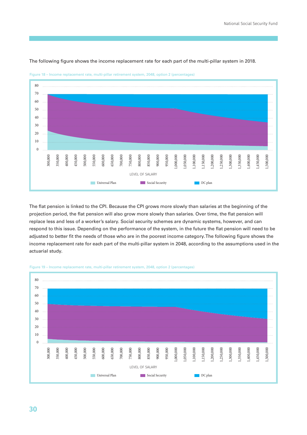

The following figure shows the income replacement rate for each part of the multi-pillar system in 2018.

Figure 18 – Income replacement rate, multi‐pillar retirement system, 2048, option 2 (percentages)

The flat pension is linked to the CPI. Because the CPI grows more slowly than salaries at the beginning of the projection period, the flat pension will also grow more slowly than salaries. Over time, the flat pension will replace less and less of a worker's salary. Social security schemes are dynamic systems, however, and can respond to this issue. Depending on the performance of the system, in the future the flat pension will need to be adjusted to better fit the needs of those who are in the poorest income category. The following figure shows the income replacement rate for each part of the multi-pillar system in 2048, according to the assumptions used in the actuarial study.



Figure 19 – Income replacement rate, multi-pillar retirement system, 2048, option 2 (percentages)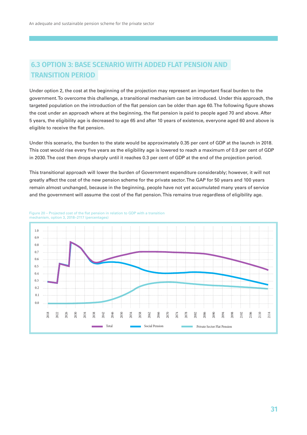## **6.3 OPTION 3: BASE SCENARIO WITH ADDED FLAT PENSION AND TRANSITION PERIOD**

Under option 2, the cost at the beginning of the projection may represent an important fiscal burden to the government. To overcome this challenge, a transitional mechanism can be introduced. Under this approach, the targeted population on the introduction of the flat pension can be older than age 60. The following figure shows the cost under an approach where at the beginning, the flat pension is paid to people aged 70 and above. After 5 years, the eligibility age is decreased to age 65 and after 10 years of existence, everyone aged 60 and above is eligible to receive the flat pension.

Under this scenario, the burden to the state would be approximately 0.35 per cent of GDP at the launch in 2018. This cost would rise every five years as the eligibility age is lowered to reach a maximum of 0.9 per cent of GDP in 2030. The cost then drops sharply until it reaches 0.3 per cent of GDP at the end of the projection period.

This transitional approach will lower the burden of Government expenditure considerably; however, it will not greatly affect the cost of the new pension scheme for the private sector. The GAP for 50 years and 100 years remain almost unchanged, because in the beginning, people have not yet accumulated many years of service and the government will assume the cost of the flat pension. This remains true regardless of eligibility age.



#### Figure 20 – Projected cost of the flat pension in relation to GDP with a transition mechanism, option 3, 2018−2117 (percentages)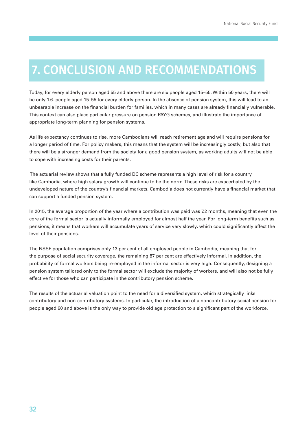## 7. CONCLUSION AND RECOMMENDATIONS

Today, for every elderly person aged 55 and above there are six people aged 15–55. Within 50 years, there will be only 1.6. people aged 15–55 for every elderly person. In the absence of pension system, this will lead to an unbearable increase on the financial burden for families, which in many cases are already financially vulnerable. This context can also place particular pressure on pension PAYG schemes, and illustrate the importance of appropriate long‐term planning for pension systems.

As life expectancy continues to rise, more Cambodians will reach retirement age and will require pensions for a longer period of time. For policy makers, this means that the system will be increasingly costly, but also that there will be a stronger demand from the society for a good pension system, as working adults will not be able to cope with increasing costs for their parents.

 The actuarial review shows that a fully funded DC scheme represents a high level of risk for a country like Cambodia, where high salary growth will continue to be the norm. These risks are exacerbated by the undeveloped nature of the country's financial markets. Cambodia does not currently have a financial market that can support a funded pension system.

In 2015, the average proportion of the year where a contribution was paid was 7.2 months, meaning that even the core of the formal sector is actually informally employed for almost half the year. For long-term benefits such as pensions, it means that workers will accumulate years of service very slowly, which could significantly affect the level of their pensions.

The NSSF population comprises only 13 per cent of all employed people in Cambodia, meaning that for the purpose of social security coverage, the remaining 87 per cent are effectively informal. In addition, the probability of formal workers being re‐employed in the informal sector is very high. Consequently, designing a pension system tailored only to the formal sector will exclude the majority of workers, and will also not be fully effective for those who can participate in the contributory pension scheme.

The results of the actuarial valuation point to the need for a diversified system, which strategically links contributory and non‐contributory systems. In particular, the introduction of a noncontributory social pension for people aged 60 and above is the only way to provide old age protection to a significant part of the workforce.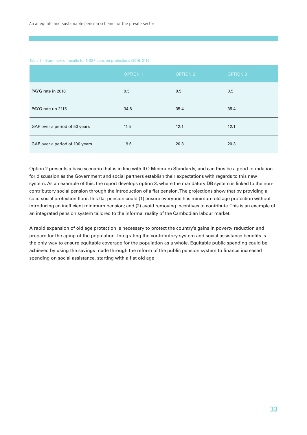#### Table 5 – Summary of results for NSSF pension projections (2016–2115)

|                                | <b>OPTION 1</b> | <b>OPTION 2</b> | <b>OPTION 3</b> |
|--------------------------------|-----------------|-----------------|-----------------|
| PAYG rate in 2018              | 0.5             | 0.5             | 0.5             |
| PAYG rate un 2115              | 34.8            | 35.4            | 35.4            |
| GAP over a period of 50 years  | 11.5            | 12.1            | 12.1            |
| GAP over a period of 100 years | 19.6            | 20.3            | 20.3            |

Option 2 presents a base scenario that is in line with ILO Minimum Standards, and can thus be a good foundation for discussion as the Government and social partners establish their expectations with regards to this new system. As an example of this, the report develops option 3, where the mandatory DB system is linked to the non‐ contributory social pension through the introduction of a flat pension. The projections show that by providing a solid social protection floor, this flat pension could (1) ensure everyone has minimum old age protection without introducing an inefficient minimum pension; and (2) avoid removing incentives to contribute. This is an example of an integrated pension system tailored to the informal reality of the Cambodian labour market.

A rapid expansion of old age protection is necessary to protect the country's gains in poverty reduction and prepare for the aging of the population. Integrating the contributory system and social assistance benefits is the only way to ensure equitable coverage for the population as a whole. Equitable public spending could be achieved by using the savings made through the reform of the public pension system to finance increased spending on social assistance, starting with a flat old age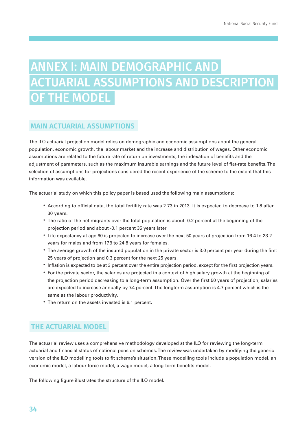## ANNEX I: MAIN DEMOGRAPHIC AND ACTUARIAL ASSUMPTIONS AND DESCRIPTION OF THE MODEL

## **MAIN ACTUARIAL ASSUMPTIONS**

The ILO actuarial projection model relies on demographic and economic assumptions about the general population, economic growth, the labour market and the increase and distribution of wages. Other economic assumptions are related to the future rate of return on investments, the indexation of benefits and the adjustment of parameters, such as the maximum insurable earnings and the future level of flat‐rate benefits. The selection of assumptions for projections considered the recent experience of the scheme to the extent that this information was available.

The actuarial study on which this policy paper is based used the following main assumptions:

- According to official data, the total fertility rate was 2.73 in 2013. It is expected to decrease to 1.8 after 30 years.
- The ratio of the net migrants over the total population is about ‐0.2 percent at the beginning of the projection period and about ‐0.1 percent 35 years later.
- Life expectancy at age 60 is projected to increase over the next 50 years of projection from 16.4 to 23.2 years for males and from 17.9 to 24.8 years for females.
- The average growth of the insured population in the private sector is 3.0 percent per year during the first 25 years of projection and 0.3 percent for the next 25 years.
- Inflation is expected to be at 3 percent over the entire projection period, except for the first projection years.
- For the private sector, the salaries are projected in a context of high salary growth at the beginning of the projection period decreasing to a long-term assumption. Over the first 50 years of projection, salaries are expected to increase annually by 7.4 percent. The longterm assumption is 4.7 percent which is the same as the labour productivity.
- The return on the assets invested is 6.1 percent.

## **THE ACTUARIAL MODEL**

The actuarial review uses a comprehensive methodology developed at the ILO for reviewing the long-term actuarial and financial status of national pension schemes. The review was undertaken by modifying the generic version of the ILO modelling tools to fit scheme's situation. These modelling tools include a population model, an economic model, a labour force model, a wage model, a long‐term benefits model.

The following figure illustrates the structure of the ILO model.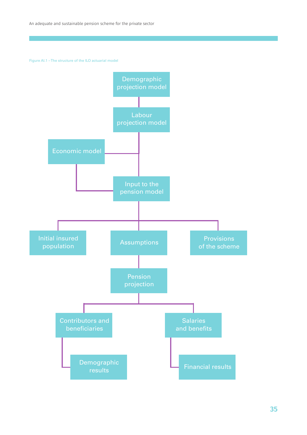Figure AI.1 – The structure of the ILO actuarial model

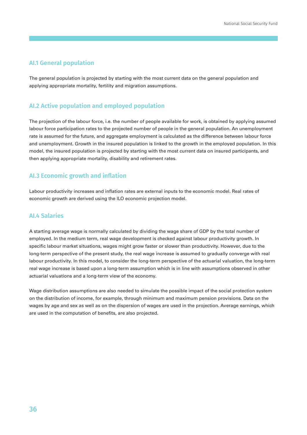### **AI.1 General population**

The general population is projected by starting with the most current data on the general population and applying appropriate mortality, fertility and migration assumptions.

## **AI.2 Active population and employed population**

The projection of the labour force, i.e. the number of people available for work, is obtained by applying assumed labour force participation rates to the projected number of people in the general population. An unemployment rate is assumed for the future, and aggregate employment is calculated as the difference between labour force and unemployment. Growth in the insured population is linked to the growth in the employed population. In this model, the insured population is projected by starting with the most current data on insured participants, and then applying appropriate mortality, disability and retirement rates.

### **AI.3 Economic growth and inflation**

Labour productivity increases and inflation rates are external inputs to the economic model. Real rates of economic growth are derived using the ILO economic projection model.

### **AI.4 Salaries**

A starting average wage is normally calculated by dividing the wage share of GDP by the total number of employed. In the medium term, real wage development is checked against labour productivity growth. In specific labour market situations, wages might grow faster or slower than productivity. However, due to the long‐term perspective of the present study, the real wage increase is assumed to gradually converge with real labour productivity. In this model, to consider the long-term perspective of the actuarial valuation, the long-term real wage increase is based upon a long-term assumption which is in line with assumptions observed in other actuarial valuations and a long‐term view of the economy.

Wage distribution assumptions are also needed to simulate the possible impact of the social protection system on the distribution of income, for example, through minimum and maximum pension provisions. Data on the wages by age and sex as well as on the dispersion of wages are used in the projection. Average earnings, which are used in the computation of benefits, are also projected.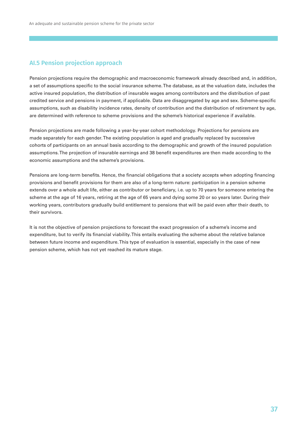## **AI.5 Pension projection approach**

Pension projections require the demographic and macroeconomic framework already described and, in addition, a set of assumptions specific to the social insurance scheme. The database, as at the valuation date, includes the active insured population, the distribution of insurable wages among contributors and the distribution of past credited service and pensions in payment, if applicable. Data are disaggregated by age and sex. Scheme‐specific assumptions, such as disability incidence rates, density of contribution and the distribution of retirement by age, are determined with reference to scheme provisions and the scheme's historical experience if available.

Pension projections are made following a year-by-year cohort methodology. Projections for pensions are made separately for each gender. The existing population is aged and gradually replaced by successive cohorts of participants on an annual basis according to the demographic and growth of the insured population assumptions. The projection of insurable earnings and 38 benefit expenditures are then made according to the economic assumptions and the scheme's provisions.

Pensions are long‐term benefits. Hence, the financial obligations that a society accepts when adopting financing provisions and benefit provisions for them are also of a long‐term nature: participation in a pension scheme extends over a whole adult life, either as contributor or beneficiary, i.e. up to 70 years for someone entering the scheme at the age of 16 years, retiring at the age of 65 years and dying some 20 or so years later. During their working years, contributors gradually build entitlement to pensions that will be paid even after their death, to their survivors.

It is not the objective of pension projections to forecast the exact progression of a scheme's income and expenditure, but to verify its financial viability. This entails evaluating the scheme about the relative balance between future income and expenditure. This type of evaluation is essential, especially in the case of new pension scheme, which has not yet reached its mature stage.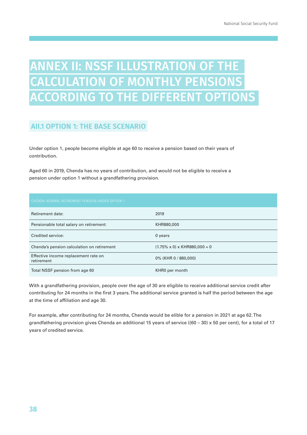## ANNEX II: NSSF ILLUSTRATION OF THE CALCULATION OF MONTHLY PENSIONS ACCORDING TO THE DIFFERENT OPTIONS

## **AII.1 OPTION 1: THE BASE SCENARIO**

Under option 1, people become eligible at age 60 to receive a pension based on their years of contribution.

Aged 60 in 2019, Chenda has no years of contribution, and would not be eligible to receive a pension under option 1 without a grandfathering provision.

| CHENDA: NORMAL RETIREMENT PENSION UNDER OPTION 1   |                                           |
|----------------------------------------------------|-------------------------------------------|
| Retirement date:                                   | 2019                                      |
| Pensionable total salary on retirement:            | KHR880,000                                |
| Credited service:                                  | 0 years                                   |
| Chenda's pension calculation on retirement         | $(1.75\% \times 0) \times$ KHR880,000 = 0 |
| Effective income replacement rate on<br>retirement | 0% (KHR 0 / 880,000)                      |
| Total NSSF pension from age 60                     | KHR0 per month                            |

With a grandfathering provision, people over the age of 30 are eligible to receive additional service credit after contributing for 24 months in the first 3 years. The additional service granted is half the period between the age at the time of affiliation and age 30.

For example, after contributing for 24 months, Chenda would be elible for a pension in 2021 at age 62. The grandfathering provision gives Chenda an additional 15 years of service ((60 – 30) x 50 per cent), for a total of 17 years of credited service.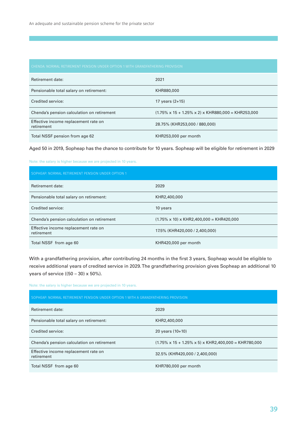| Retirement date:                                   | 2021                                                                  |
|----------------------------------------------------|-----------------------------------------------------------------------|
| Pensionable total salary on retirement:            | KHR880,000                                                            |
| Credited service:                                  | 17 years $(2+15)$                                                     |
| Chenda's pension calculation on retirement         | $(1.75\% \times 15 + 1.25\% \times 2) \times$ KHR880,000 = KHR253,000 |
| Effective income replacement rate on<br>retirement | 28.75% (KHR253.000 / 880.000)                                         |
| Total NSSF pension from age 62                     | KHR253,000 per month                                                  |

Aged 50 in 2019, Sopheap has the chance to contribute for 10 years. Sopheap will be eligible for retirement in 2029

Note: the salary is higher because we are projected in 10 years.

| SOPHEAP: NORMAL RETIREMENT PENSION UNDER OPTION 1  |                                                       |
|----------------------------------------------------|-------------------------------------------------------|
| Retirement date:                                   | 2029                                                  |
| Pensionable total salary on retirement:            | KHR2,400,000                                          |
| Credited service:                                  | 10 years                                              |
| Chenda's pension calculation on retirement         | $(1.75\% \times 10) \times$ KHR2,400,000 = KHR420,000 |
| Effective income replacement rate on<br>retirement | 17.5% (KHR420,000 / 2,400,000)                        |
| Total NSSF from age 60                             | KHR420,000 per month                                  |

With a grandfathering provision, after contributing 24 months in the first 3 years, Sopheap would be eligible to receive additional years of credited service in 2029. The grandfathering provision gives Sopheap an additional 10 years of service  $((50 - 30) \times 50\%).$ 

Note: the salary is higher because we are projected in 10 years.

| SOPHEAP: NORMAL RETIREMENT PENSION UNDER OPTION 1 WITH A GRANDFATHERING PROVISION |                                                                         |
|-----------------------------------------------------------------------------------|-------------------------------------------------------------------------|
| Retirement date:                                                                  | 2029                                                                    |
| Pensionable total salary on retirement:                                           | KHR2,400,000                                                            |
| Credited service:                                                                 | 20 years $(10+10)$                                                      |
| Chenda's pension calculation on retirement                                        | $(1.75\% \times 15 + 1.25\% \times 5) \times$ KHR2,400,000 = KHR780,000 |
| Effective income replacement rate on<br>retirement                                | 32.5% (KHR420,000 / 2,400,000)                                          |
| Total NSSF from age 60                                                            | KHR780,000 per month                                                    |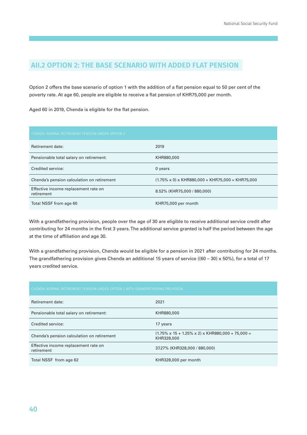## **AII.2 OPTION 2: THE BASE SCENARIO WITH ADDED FLAT PENSION**

Option 2 offers the base scenario of option 1 with the addition of a flat pension equal to 50 per cent of the poverty rate. At age 60, people are eligible to receive a flat pension of KHR75,000 per month.

Aged 60 in 2019, Chenda is eligible for the flat pension.

| CHENDA: NORMAL RETIREMENT PENSION UNDER OPTION 2   |                                                               |
|----------------------------------------------------|---------------------------------------------------------------|
| Retirement date:                                   | 2019                                                          |
| Pensionable total salary on retirement:            | KHR880,000                                                    |
| Credited service:                                  | 0 years                                                       |
| Chenda's pension calculation on retirement         | $(1.75\% \times 0) \times$ KHR880,000 + KHR75,000 = KHR75,000 |
| Effective income replacement rate on<br>retirement | 8.52% (KHR75,000 / 880,000)                                   |
| Total NSSF from age 60                             | KHR75,000 per month                                           |

With a grandfathering provision, people over the age of 30 are eligible to receive additional service credit after contributing for 24 months in the first 3 years. The additional service granted is half the period between the age at the time of affiliation and age 30.

With a grandfathering provision, Chenda would be eligible for a pension in 2021 after contributing for 24 months. The grandfathering provision gives Chenda an additional 15 years of service ((60 - 30) x 50%), for a total of 17 years credited service.

| CHENDA: NORMAL RETIREMENT PENSION UNDER OPTION 2 WITH GRANDFATHERING PROVISION |                                                                                   |
|--------------------------------------------------------------------------------|-----------------------------------------------------------------------------------|
| Retirement date:                                                               | 2021                                                                              |
| Pensionable total salary on retirement:                                        | KHR880,000                                                                        |
| Credited service:                                                              | 17 years                                                                          |
| Chenda's pension calculation on retirement                                     | $(1.75\% \times 15 + 1.25\% \times 2) \times$ KHR880,000 + 75,000 =<br>KHR328,000 |
| Effective income replacement rate on<br>retirement                             | 37.27% (KHR328,000 / 880,000)                                                     |
| Total NSSF from age 62                                                         | KHR328,000 per month                                                              |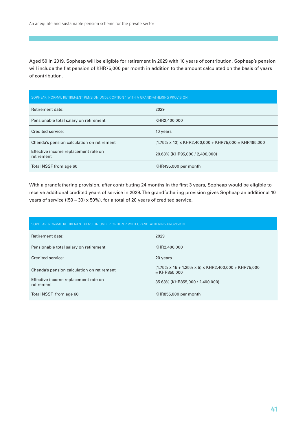Aged 50 in 2019, Sopheap will be eligible for retirement in 2029 with 10 years of contribution. Sopheap's pension will include the flat pension of KHR75,000 per month in addition to the amount calculated on the basis of years of contribution.

| SOPHEAP: NORMAL RETIREMENT PENSION UNDER OPTION 1 WITH A GRANDFATHERING PROVISION |                                                                   |
|-----------------------------------------------------------------------------------|-------------------------------------------------------------------|
| Retirement date:                                                                  | 2029                                                              |
| Pensionable total salary on retirement:                                           | KHR2,400,000                                                      |
| Credited service:                                                                 | 10 years                                                          |
| Chenda's pension calculation on retirement                                        | $(1.75\% \times 10) \times$ KHR2.400.000 + KHR75.000 = KHR495.000 |
| Effective income replacement rate on<br>retirement                                | 20.63% (KHR95,000 / 2,400,000)                                    |
| Total NSSF from age 60                                                            | KHR495,000 per month                                              |

With a grandfathering provision, after contributing 24 months in the first 3 years, Sopheap would be eligible to receive additional credited years of service in 2029. The grandfathering provision gives Sopheap an additional 10 years of service ((50 – 30) x 50%), for a total of 20 years of credited service.

| SOPHEAP: NORMAL RETIREMENT PENSION UNDER OPTION 2 WITH GRANDFATHERING PROVISION |                                                                                          |
|---------------------------------------------------------------------------------|------------------------------------------------------------------------------------------|
| Retirement date:                                                                | 2029                                                                                     |
| Pensionable total salary on retirement:                                         | KHR2,400,000                                                                             |
| Credited service:                                                               | 20 years                                                                                 |
| Chenda's pension calculation on retirement                                      | $(1.75\% \times 15 + 1.25\% \times 5) \times$ KHR2,400,000 + KHR75,000<br>$=$ KHR855,000 |
| Effective income replacement rate on<br>retirement                              | 35.63% (KHR855,000 / 2,400,000)                                                          |
| Total NSSF from age 60                                                          | KHR855,000 per month                                                                     |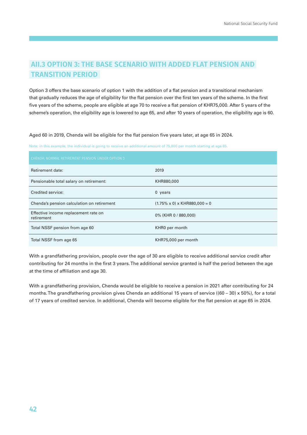## **AII.3 OPTION 3: THE BASE SCENARIO WITH ADDED FLAT PENSION AND TRANSITION PERIOD**

Option 3 offers the base scenario of option 1 with the addition of a flat pension and a transitional mechanism that gradually reduces the age of eligibility for the flat pension over the first ten years of the scheme. In the first five years of the scheme, people are eligible at age 70 to receive a flat pension of KHR75,000. After 5 years of the scheme's operation, the eligibility age is lowered to age 65, and after 10 years of operation, the eligibility age is 60.

Aged 60 in 2019, Chenda will be eligible for the flat pension five years later, at age 65 in 2024.

Note: in this example, the individual is going to receive an additional amount of 75,000 per month starting at age 65.

| CHENDA: NORMAL RETIREMENT PENSION UNDER OPTION 3   |                                           |
|----------------------------------------------------|-------------------------------------------|
| Retirement date:                                   | 2019                                      |
| Pensionable total salary on retirement:            | KHR880,000                                |
| Credited service:                                  | $0$ years                                 |
| Chenda's pension calculation on retirement         | $(1.75\% \times 0) \times$ KHR880,000 = 0 |
| Effective income replacement rate on<br>retirement | 0% (KHR 0 / 880,000)                      |
| Total NSSF pension from age 60                     | KHR0 per month                            |
| Total NSSF from age 65                             | KHR75,000 per month                       |

With a grandfathering provision, people over the age of 30 are eligible to receive additional service credit after contributing for 24 months in the first 3 years. The additional service granted is half the period between the age at the time of affiliation and age 30.

With a grandfathering provision, Chenda would be eligible to receive a pension in 2021 after contributing for 24 months. The grandfathering provision gives Chenda an additional 15 years of service ((60 – 30) x 50%), for a total of 17 years of credited service. In additional, Chenda will become eligible for the flat pension at age 65 in 2024.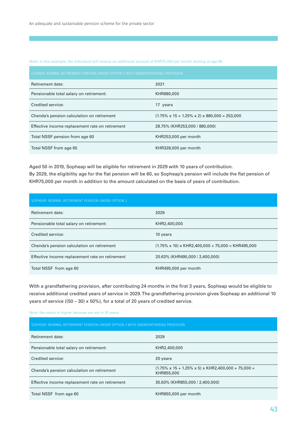Note: in this example, the individual will receive an additional amount of KHR75,000 per month starting at age 65.

| CHENDA: NORMAL RETIREMENT PENSION UNDER OPTION 3 WITH GRANDFATHERING PROVISION |                                                                 |
|--------------------------------------------------------------------------------|-----------------------------------------------------------------|
| Retirement date:                                                               | 2021                                                            |
| Pensionable total salary on retirement:                                        | KHR880,000                                                      |
| Credited service:                                                              | 17 years                                                        |
| Chenda's pension calculation on retirement                                     | $(1.75\% \times 15 + 1.25\% \times 2) \times 880,000 = 253,000$ |
| Effective income replacement rate on retirement                                | 28.75% (KHR253.000 / 880.000)                                   |
| Total NSSF pension from age 60                                                 | KHR253,000 per month                                            |
| Total NSSF from age 65                                                         | KHR328,000 per month                                            |

Aged 50 in 2019, Sopheap will be eligible for retirement in 2029 with 10 years of contribution. By 2029, the eligibility age for the flat pension will be 60, so Sopheap's pension will include the flat pension of KHR75,000 per month in addition to the amount calculated on the basis of years of contribution.

| SOPHEAP: NORMAL RETIREMENT PENSION UNDER OPTION 3 |                                                                |
|---------------------------------------------------|----------------------------------------------------------------|
| Retirement date:                                  | 2029                                                           |
| Pensionable total salary on retirement:           | KHR2,400,000                                                   |
| Credited service:                                 | 10 years                                                       |
| Chenda's pension calculation on retirement        | $(1.75\% \times 10) \times$ KHR2,400,000 + 75,000 = KHR495,000 |
| Effective income replacement rate on retirement   | 20.63% (KHR495,000 / 2,400,000)                                |
| Total NSSF from age 60                            | KHR495,000 per month                                           |

With a grandfathering provision, after contributing 24 months in the first 3 years, Sopheap would be eligible to receive additional credited years of service in 2029. The grandfathering provision gives Sopheap an additional 10 years of service ((50 – 30) x 50%), for a total of 20 years of credited service.

Note: the salary is higher because we are in 10 years.

| Retirement date:                                | 2029                                                                                |
|-------------------------------------------------|-------------------------------------------------------------------------------------|
| Pensionable total salary on retirement:         | KHR2,400,000                                                                        |
| Credited service:                               | 20 years                                                                            |
| Chenda's pension calculation on retirement      | $(1.75\% \times 15 + 1.25\% \times 5) \times$ KHR2,400,000 + 75,000 =<br>KHR855,000 |
| Effective income replacement rate on retirement | 35.63% (KHR855,000 / 2,400,000)                                                     |
| Total NSSF from age 60                          | KHR855,000 per month                                                                |